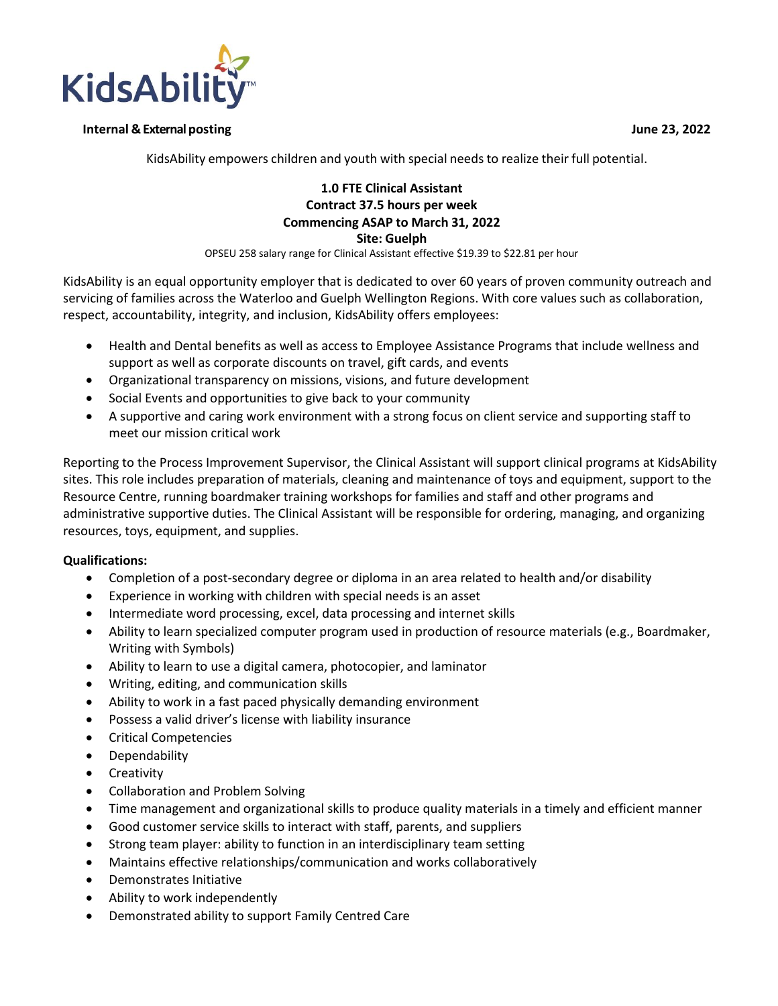**KidsAbili** 

## **Internal & Externalposting June 23, 2022**

KidsAbility empowers children and youth with special needs to realize their full potential.

## **1.0 FTE Clinical Assistant Contract 37.5 hours per week Commencing ASAP to March 31, 2022 Site: Guelph**

OPSEU 258 salary range for Clinical Assistant effective \$19.39 to \$22.81 per hour

KidsAbility is an equal opportunity employer that is dedicated to over 60 years of proven community outreach and servicing of families across the Waterloo and Guelph Wellington Regions. With core values such as collaboration, respect, accountability, integrity, and inclusion, KidsAbility offers employees:

- Health and Dental benefits as well as access to Employee Assistance Programs that include wellness and support as well as corporate discounts on travel, gift cards, and events
- Organizational transparency on missions, visions, and future development
- Social Events and opportunities to give back to your community
- A supportive and caring work environment with a strong focus on client service and supporting staff to meet our mission critical work

Reporting to the Process Improvement Supervisor, the Clinical Assistant will support clinical programs at KidsAbility sites. This role includes preparation of materials, cleaning and maintenance of toys and equipment, support to the Resource Centre, running boardmaker training workshops for families and staff and other programs and administrative supportive duties. The Clinical Assistant will be responsible for ordering, managing, and organizing resources, toys, equipment, and supplies.

## **Qualifications:**

- Completion of a post-secondary degree or diploma in an area related to health and/or disability
- Experience in working with children with special needs is an asset
- Intermediate word processing, excel, data processing and internet skills
- Ability to learn specialized computer program used in production of resource materials (e.g., Boardmaker, Writing with Symbols)
- Ability to learn to use a digital camera, photocopier, and laminator
- Writing, editing, and communication skills
- Ability to work in a fast paced physically demanding environment
- Possess a valid driver's license with liability insurance
- Critical Competencies
- Dependability
- Creativity
- Collaboration and Problem Solving
- Time management and organizational skills to produce quality materials in a timely and efficient manner
- Good customer service skills to interact with staff, parents, and suppliers
- Strong team player: ability to function in an interdisciplinary team setting
- Maintains effective relationships/communication and works collaboratively
- Demonstrates Initiative
- Ability to work independently
- Demonstrated ability to support Family Centred Care